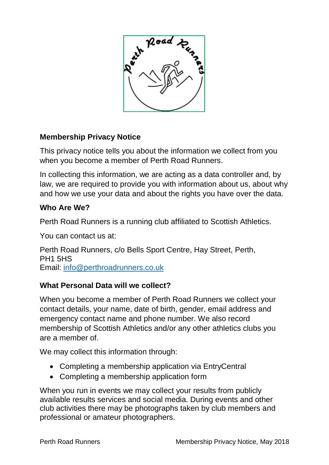

# **Membership Privacy Notice**

This privacy notice tells you about the information we collect from you when you become a member of Perth Road Runners.

In collecting this information, we are acting as a data controller and, by law, we are required to provide you with information about us, about why and how we use your data and about the rights you have over the data.

## **Who Are We?**

Perth Road Runners is a running club affiliated to Scottish Athletics.

You can contact us at:

Perth Road Runners, c/o Bells Sport Centre, Hay Street, Perth, PH1 5HS Email: [info@perthroadrunners.co.uk](mailto:info@perthroadrunners.co.uk)

## **What Personal Data will we collect?**

When you become a member of Perth Road Runners we collect your contact details, your name, date of birth, gender, email address and emergency contact name and phone number. We also record membership of Scottish Athletics and/or any other athletics clubs you are a member of.

We may collect this information through:

- Completing a membership application via EntryCentral
- Completing a membership application form

When you run in events we may collect your results from publicly available results services and social media. During events and other club activities there may be photographs taken by club members and professional or amateur photographers.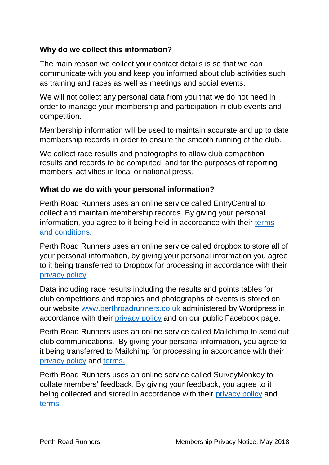## **Why do we collect this information?**

The main reason we collect your contact details is so that we can communicate with you and keep you informed about club activities such as training and races as well as meetings and social events.

We will not collect any personal data from you that we do not need in order to manage your membership and participation in club events and competition.

Membership information will be used to maintain accurate and up to date membership records in order to ensure the smooth running of the club.

We collect race results and photographs to allow club competition results and records to be computed, and for the purposes of reporting members' activities in local or national press.

## **What do we do with your personal information?**

Perth Road Runners uses an online service called EntryCentral to collect and maintain membership records. By giving your personal information, you agree to it being held in accordance with their [terms](https://www.entrycentral.com/terms-and-conditions)  [and conditions.](https://www.entrycentral.com/terms-and-conditions)

Perth Road Runners uses an online service called dropbox to store all of your personal information, by giving your personal information you agree to it being transferred to Dropbox for processing in accordance with their [privacy policy.](https://www.dropbox.com/privacy2018)

Data including race results including the results and points tables for club competitions and trophies and photographs of events is stored on our website [www.perthroadrunners.co.uk](http://www.perthroadrunners.co.uk/) administered by Wordpress in accordance with their [privacy policy](https://automattic.com/privacy) and on our public Facebook page.

Perth Road Runners uses an online service called Mailchimp to send out club communications. By giving your personal information, you agree to it being transferred to Mailchimp for processing in accordance with their [privacy policy](https://mailchimp.com/legal/privacy/) and [terms.](https://mailchimp.com/legal/terms/)

Perth Road Runners uses an online service called SurveyMonkey to collate members' feedback. By giving your feedback, you agree to it being collected and stored in accordance with their [privacy policy](https://www.surveymonkey.co.uk/mp/legal/privacy-policy/) and [terms.](https://www.surveymonkey.co.uk/mp/legal/terms-of-use/)